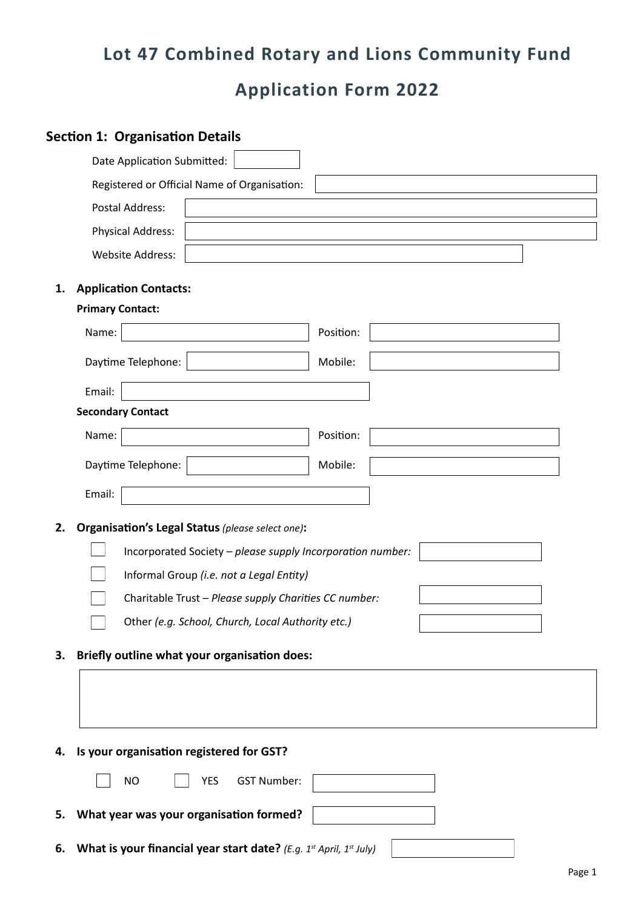# **Lot 47 Combined Rotary and Lions Community Fund**

## **Application Form 2022**

|    | <b>Section 1: Organisation Details</b>                             |
|----|--------------------------------------------------------------------|
|    | Date Application Submitted:                                        |
|    | Registered or Official Name of Organisation:                       |
|    | <b>Postal Address:</b>                                             |
|    | <b>Physical Address:</b>                                           |
|    | <b>Website Address:</b>                                            |
| 1. | <b>Application Contacts:</b>                                       |
|    | <b>Primary Contact:</b>                                            |
|    | Position:<br>Name:                                                 |
|    | Mobile:<br>Daytime Telephone:                                      |
|    | Email:                                                             |
|    | <b>Secondary Contact</b>                                           |
|    | Position:<br>Name:                                                 |
|    | Daytime Telephone:<br>Mobile:                                      |
|    | Email:                                                             |
| 2. | Organisation's Legal Status (please select one):                   |
|    | Incorporated Society - please supply Incorporation number:         |
|    | Informal Group (i.e. not a Legal Entity)                           |
|    | Charitable Trust - Please supply Charities CC number:              |
|    | Other (e.g. School, Church, Local Authority etc.)                  |
|    |                                                                    |
| 3. | Briefly outline what your organisation does:                       |
|    |                                                                    |
|    |                                                                    |
| 4. | Is your organisation registered for GST?                           |
|    |                                                                    |
|    | <b>GST Number:</b><br><b>NO</b><br>YES                             |
| 5. | What year was your organisation formed?                            |
| 6. | What is your financial year start date? (E.g. 1st April, 1st July) |
|    | Page 1                                                             |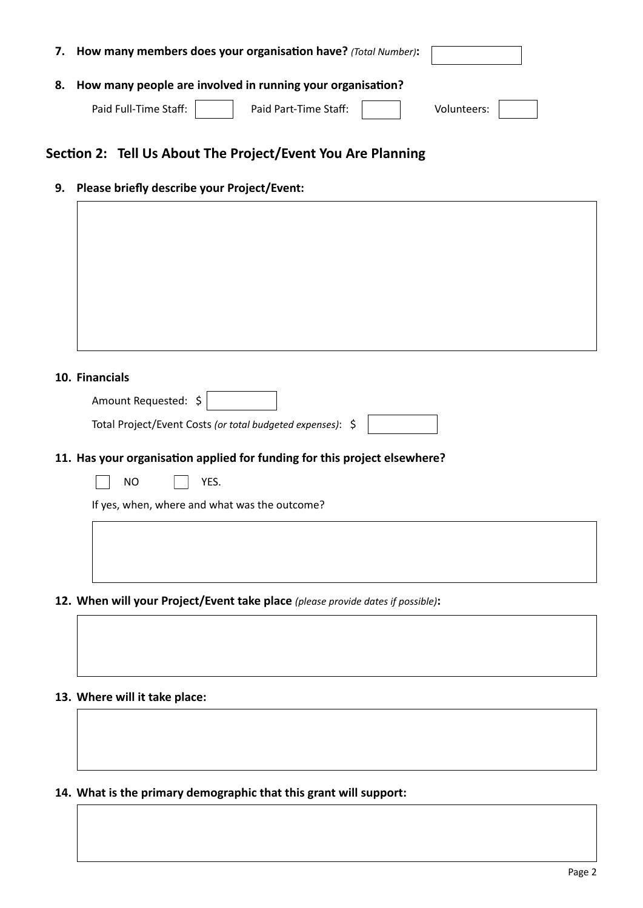| How many members does your organisation have? (Total Number): |             |  |  |  |  |  |  |  |  |
|---------------------------------------------------------------|-------------|--|--|--|--|--|--|--|--|
| 8. How many people are involved in running your organisation? |             |  |  |  |  |  |  |  |  |
| Paid Part-Time Staff:<br>Paid Full-Time Staff:                | Volunteers: |  |  |  |  |  |  |  |  |

## **Section 2: Tell Us About The Project/Event You Are Planning**

**9. Please briefly describe your Project/Event:**

| 10. Financials |                                                                                 |  |  |  |  |
|----------------|---------------------------------------------------------------------------------|--|--|--|--|
|                | Amount Requested: \$                                                            |  |  |  |  |
|                | Total Project/Event Costs (or total budgeted expenses): \$                      |  |  |  |  |
|                | 11. Has your organisation applied for funding for this project elsewhere?       |  |  |  |  |
|                | YES.<br><b>NO</b>                                                               |  |  |  |  |
|                | If yes, when, where and what was the outcome?                                   |  |  |  |  |
|                |                                                                                 |  |  |  |  |
|                |                                                                                 |  |  |  |  |
|                |                                                                                 |  |  |  |  |
|                |                                                                                 |  |  |  |  |
|                | 12. When will your Project/Event take place (please provide dates if possible): |  |  |  |  |
|                |                                                                                 |  |  |  |  |

## **13. Where will it take place:**

**14. What is the primary demographic that this grant will support:**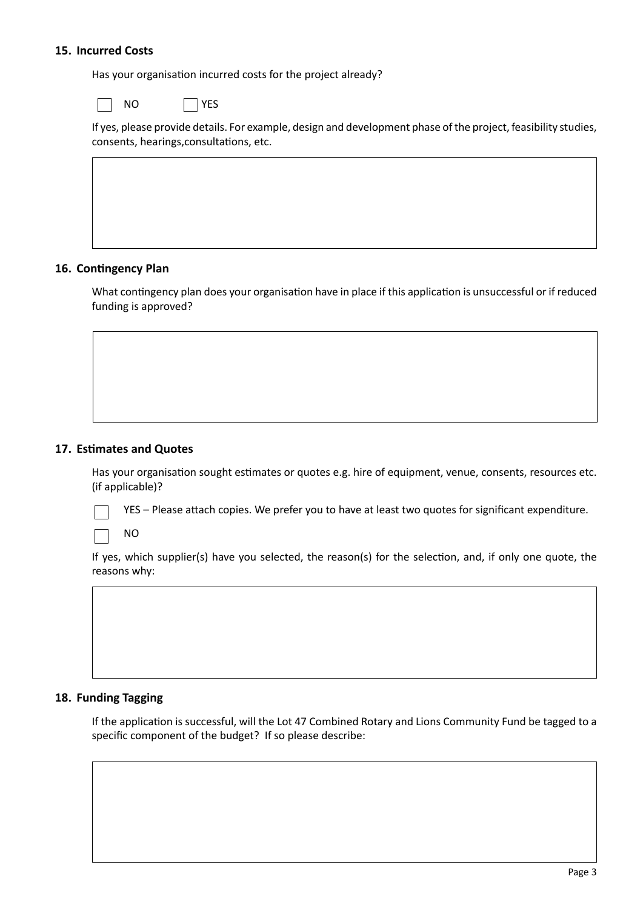#### **15. Incurred Costs**

Has your organisation incurred costs for the project already?

NO **T**YES

If yes, please provide details. For example, design and development phase of the project, feasibility studies, consents, hearings,consultations, etc.

#### **16. Contingency Plan**

What contingency plan does your organisation have in place if this application is unsuccessful or if reduced funding is approved?

#### **17. Estimates and Quotes**

Has your organisation sought estimates or quotes e.g. hire of equipment, venue, consents, resources etc. (if applicable)?



YES – Please attach copies. We prefer you to have at least two quotes for significant expenditure.

NO

If yes, which supplier(s) have you selected, the reason(s) for the selection, and, if only one quote, the reasons why:

#### **18. Funding Tagging**

If the application is successful, will the Lot 47 Combined Rotary and Lions Community Fund be tagged to a specific component of the budget? If so please describe: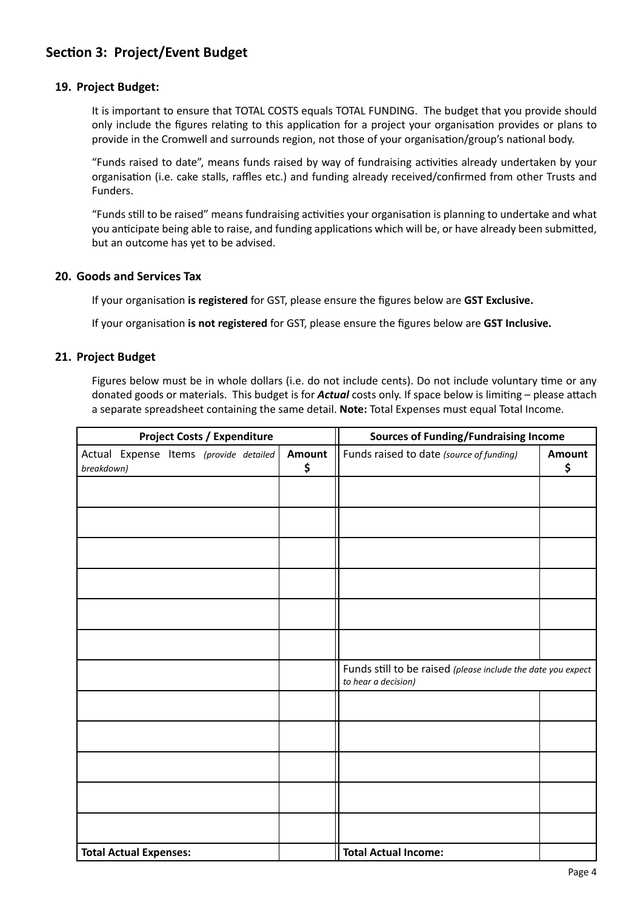## **Section 3: Project/Event Budget**

#### **19. Project Budget:**

It is important to ensure that TOTAL COSTS equals TOTAL FUNDING. The budget that you provide should only include the figures relating to this application for a project your organisation provides or plans to provide in the Cromwell and surrounds region, not those of your organisation/group's national body.

"Funds raised to date", means funds raised by way of fundraising activities already undertaken by your organisation (i.e. cake stalls, raffles etc.) and funding already received/confirmed from other Trusts and Funders.

"Funds still to be raised" means fundraising activities your organisation is planning to undertake and what you anticipate being able to raise, and funding applications which will be, or have already been submitted, but an outcome has yet to be advised.

#### **20. Goods and Services Tax**

If your organisation **is registered** for GST, please ensure the figures below are **GST Exclusive.**

If your organisation **is not registered** for GST, please ensure the figures below are **GST Inclusive.**

#### **21. Project Budget**

Figures below must be in whole dollars (i.e. do not include cents). Do not include voluntary time or any donated goods or materials. This budget is for *Actual* costs only. If space below is limiting – please attach a separate spreadsheet containing the same detail. **Note:** Total Expenses must equal Total Income.

| <b>Project Costs / Expenditure</b>                   |              | <b>Sources of Funding/Fundraising Income</b>                                        |                     |  |  |
|------------------------------------------------------|--------------|-------------------------------------------------------------------------------------|---------------------|--|--|
| Actual Expense Items (provide detailed<br>breakdown) | Amount<br>\$ | Funds raised to date (source of funding)                                            | <b>Amount</b><br>\$ |  |  |
|                                                      |              |                                                                                     |                     |  |  |
|                                                      |              |                                                                                     |                     |  |  |
|                                                      |              |                                                                                     |                     |  |  |
|                                                      |              |                                                                                     |                     |  |  |
|                                                      |              |                                                                                     |                     |  |  |
|                                                      |              |                                                                                     |                     |  |  |
|                                                      |              | Funds still to be raised (please include the date you expect<br>to hear a decision) |                     |  |  |
|                                                      |              |                                                                                     |                     |  |  |
|                                                      |              |                                                                                     |                     |  |  |
|                                                      |              |                                                                                     |                     |  |  |
|                                                      |              |                                                                                     |                     |  |  |
|                                                      |              |                                                                                     |                     |  |  |
| <b>Total Actual Expenses:</b>                        |              | <b>Total Actual Income:</b>                                                         |                     |  |  |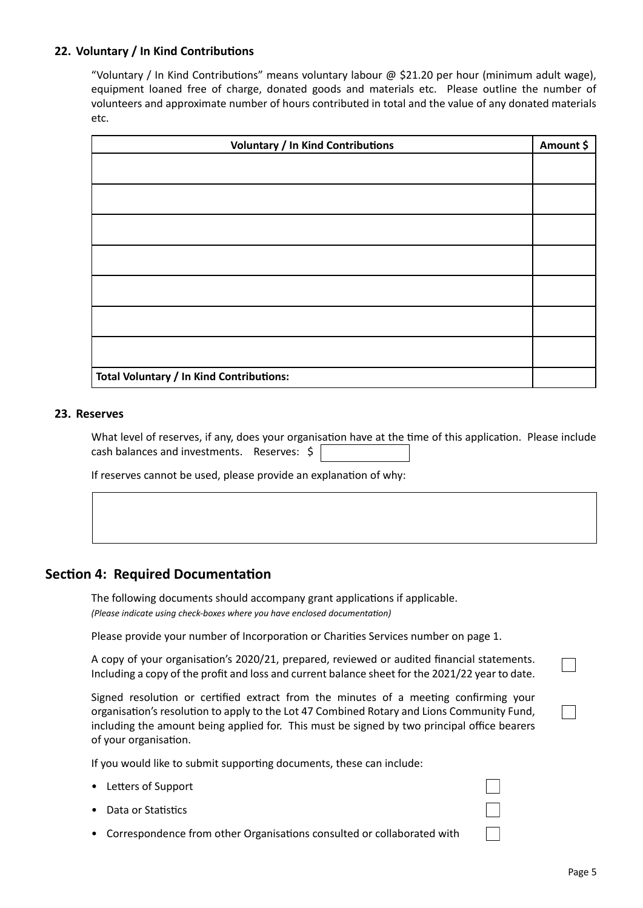#### **22. Voluntary / In Kind Contributions**

"Voluntary / In Kind Contributions" means voluntary labour @ \$21.20 per hour (minimum adult wage), equipment loaned free of charge, donated goods and materials etc. Please outline the number of volunteers and approximate number of hours contributed in total and the value of any donated materials etc.

| <b>Voluntary / In Kind Contributions</b>        | Amount \$ |
|-------------------------------------------------|-----------|
|                                                 |           |
|                                                 |           |
|                                                 |           |
|                                                 |           |
|                                                 |           |
|                                                 |           |
|                                                 |           |
|                                                 |           |
| <b>Total Voluntary / In Kind Contributions:</b> |           |

#### **23. Reserves**

What level of reserves, if any, does your organisation have at the time of this application. Please include cash balances and investments. Reserves: \$

If reserves cannot be used, please provide an explanation of why:

#### **Section 4: Required Documentation**

The following documents should accompany grant applications if applicable. *(Please indicate using check-boxes where you have enclosed documentation)*

Please provide your number of Incorporation or Charities Services number on page 1.

A copy of your organisation's 2020/21, prepared, reviewed or audited financial statements. Including a copy of the profit and loss and current balance sheet for the 2021/22 year to date.

Signed resolution or certified extract from the minutes of a meeting confirming your organisation's resolution to apply to the Lot 47 Combined Rotary and Lions Community Fund, including the amount being applied for. This must be signed by two principal office bearers of your organisation.

If you would like to submit supporting documents, these can include:

- Letters of Support
- Data or Statistics
- Correspondence from other Organisations consulted or collaborated with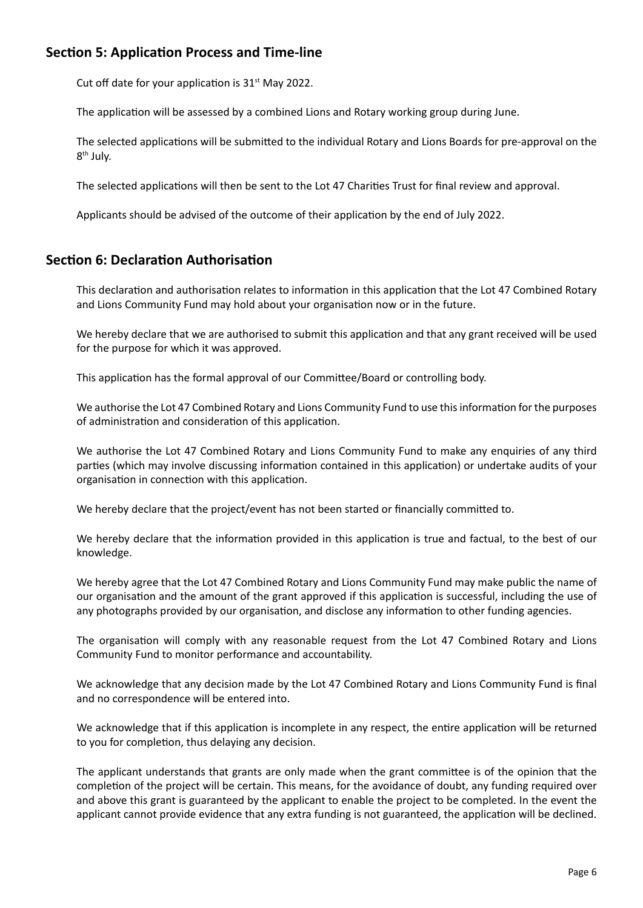## **Section 5: Application Process and Time-line**

Cut off date for your application is 31<sup>st</sup> May 2022.

The application will be assessed by a combined Lions and Rotary working group during June.

The selected applications will be submitted to the individual Rotary and Lions Boards for pre-approval on the 8th July.

The selected applications will then be sent to the Lot 47 Charities Trust for final review and approval.

Applicants should be advised of the outcome of their application by the end of July 2022.

### **Section 6: Declaration Authorisation**

This declaration and authorisation relates to information in this application that the Lot 47 Combined Rotary and Lions Community Fund may hold about your organisation now or in the future.

We hereby declare that we are authorised to submit this application and that any grant received will be used for the purpose for which it was approved.

This application has the formal approval of our Committee/Board or controlling body.

We authorise the Lot 47 Combined Rotary and Lions Community Fund to use this information for the purposes of administration and consideration of this application.

We authorise the Lot 47 Combined Rotary and Lions Community Fund to make any enquiries of any third parties (which may involve discussing information contained in this application) or undertake audits of your organisation in connection with this application.

We hereby declare that the project/event has not been started or financially committed to.

We hereby declare that the information provided in this application is true and factual, to the best of our knowledge.

We hereby agree that the Lot 47 Combined Rotary and Lions Community Fund may make public the name of our organisation and the amount of the grant approved if this application is successful, including the use of any photographs provided by our organisation, and disclose any information to other funding agencies.

The organisation will comply with any reasonable request from the Lot 47 Combined Rotary and Lions Community Fund to monitor performance and accountability.

We acknowledge that any decision made by the Lot 47 Combined Rotary and Lions Community Fund is final and no correspondence will be entered into.

We acknowledge that if this application is incomplete in any respect, the entire application will be returned to you for completion, thus delaying any decision.

The applicant understands that grants are only made when the grant committee is of the opinion that the completion of the project will be certain. This means, for the avoidance of doubt, any funding required over and above this grant is guaranteed by the applicant to enable the project to be completed. In the event the applicant cannot provide evidence that any extra funding is not guaranteed, the application will be declined.